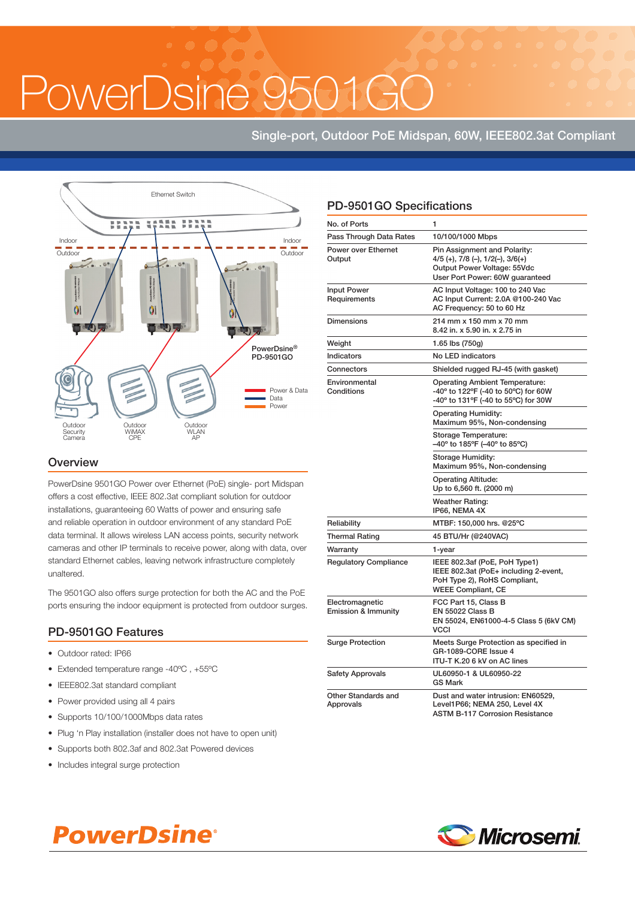OwerDsine 956

# Single-port, Outdoor PoE Midspan, 60W, IEEE802.3at Compliant



### **Overview**

PowerDsine 9501GO Power over Ethernet (PoE) single- port Midspan offers a cost effective, IEEE 802.3at compliant solution for outdoor installations, guaranteeing 60 Watts of power and ensuring safe and reliable operation in outdoor environment of any standard PoE data terminal. It allows wireless LAN access points, security network cameras and other IP terminals to receive power, along with data, over standard Ethernet cables, leaving network infrastructure completely unaltered.

The 9501GO also offers surge protection for both the AC and the PoE ports ensuring the indoor equipment is protected from outdoor surges.

### PD-9501GO Features

- Outdoor rated: IP66
- Extended temperature range -40 $^{\circ}$ C, +55 $^{\circ}$ C
- IEEE802.3at standard compliant
- Power provided using all 4 pairs
- Supports 10/100/1000Mbps data rates
- Plug 'n Play installation (installer does not have to open unit)
- Supports both 802.3af and 802.3at Powered devices
- Includes integral surge protection

# PD-9501GO Specifications

| No. of Ports                                      | 1                                                                                                                                            |  |
|---------------------------------------------------|----------------------------------------------------------------------------------------------------------------------------------------------|--|
| Pass Through Data Rates                           | 10/100/1000 Mbps                                                                                                                             |  |
| <b>Power over Ethernet</b><br>Output              | Pin Assignment and Polarity:<br>$4/5$ (+), $7/8$ (-), $1/2$ (-), $3/6$ (+)<br>Output Power Voltage: 55Vdc<br>User Port Power: 60W guaranteed |  |
| <b>Input Power</b><br>Requirements                | AC Input Voltage: 100 to 240 Vac<br>AC Input Current: 2.0A @100-240 Vac<br>AC Frequency: 50 to 60 Hz                                         |  |
| <b>Dimensions</b>                                 | 214 mm x 150 mm x 70 mm<br>8.42 in. x 5.90 in. x 2.75 in                                                                                     |  |
| Weight                                            | 1.65 lbs (750g)                                                                                                                              |  |
| Indicators                                        | No LED indicators                                                                                                                            |  |
| Connectors                                        | Shielded rugged RJ-45 (with gasket)                                                                                                          |  |
| Environmental<br>Conditions                       | <b>Operating Ambient Temperature:</b><br>-40° to 122°F (-40 to 50°C) for 60W<br>-40° to 131°F (-40 to 55°C) for 30W                          |  |
|                                                   | <b>Operating Humidity:</b><br>Maximum 95%, Non-condensing                                                                                    |  |
|                                                   | Storage Temperature:<br>-40° to 185°F (-40° to 85°C)                                                                                         |  |
|                                                   | Storage Humidity:<br>Maximum 95%, Non-condensing                                                                                             |  |
|                                                   | <b>Operating Altitude:</b><br>Up to 6,560 ft. (2000 m)                                                                                       |  |
|                                                   | <b>Weather Rating:</b><br>IP66, NEMA 4X                                                                                                      |  |
| Reliability                                       | MTBF: 150,000 hrs. @25°C                                                                                                                     |  |
| <b>Thermal Rating</b>                             | 45 BTU/Hr (@240VAC)                                                                                                                          |  |
| Warranty                                          | 1-year                                                                                                                                       |  |
| <b>Regulatory Compliance</b>                      | IEEE 802.3af (PoE, PoH Type1)<br>IEEE 802.3at (PoE+ including 2-event,<br>PoH Type 2), RoHS Compliant,<br><b>WEEE Compliant, CE</b>          |  |
| Electromagnetic<br><b>Emission &amp; Immunity</b> | FCC Part 15, Class B<br><b>EN 55022 Class B</b><br>EN 55024, EN61000-4-5 Class 5 (6kV CM)<br>VCCI                                            |  |
| <b>Surge Protection</b>                           | Meets Surge Protection as specified in<br>GR-1089-CORE Issue 4<br>ITU-T K.20 6 kV on AC lines                                                |  |
| <b>Safety Approvals</b>                           | UL60950-1 & UL60950-22<br><b>GS Mark</b>                                                                                                     |  |
| Other Standards and<br>Approvals                  | Dust and water intrusion: EN60529,<br>Level1P66; NEMA 250, Level 4X<br><b>ASTM B-117 Corrosion Resistance</b>                                |  |